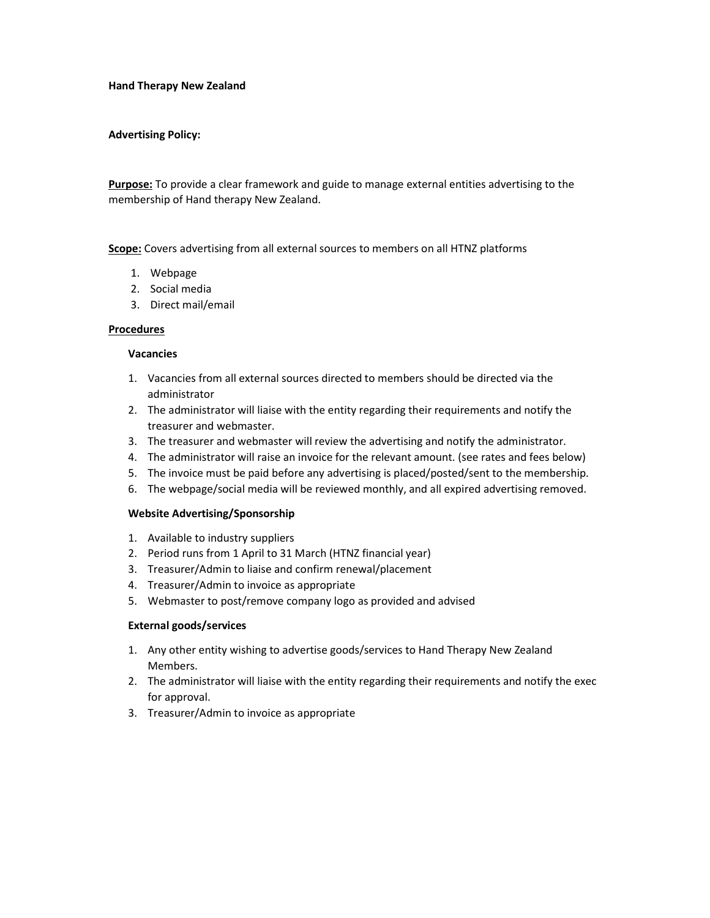### Hand Therapy New Zealand

## Advertising Policy:

Purpose: To provide a clear framework and guide to manage external entities advertising to the membership of Hand therapy New Zealand.

Scope: Covers advertising from all external sources to members on all HTNZ platforms

- 1. Webpage
- 2. Social media
- 3. Direct mail/email

### Procedures

### Vacancies

- 1. Vacancies from all external sources directed to members should be directed via the administrator
- 2. The administrator will liaise with the entity regarding their requirements and notify the treasurer and webmaster.
- 3. The treasurer and webmaster will review the advertising and notify the administrator.
- 4. The administrator will raise an invoice for the relevant amount. (see rates and fees below)
- 5. The invoice must be paid before any advertising is placed/posted/sent to the membership.
- 6. The webpage/social media will be reviewed monthly, and all expired advertising removed.

## Website Advertising/Sponsorship

- 1. Available to industry suppliers
- 2. Period runs from 1 April to 31 March (HTNZ financial year)
- 3. Treasurer/Admin to liaise and confirm renewal/placement
- 4. Treasurer/Admin to invoice as appropriate
- 5. Webmaster to post/remove company logo as provided and advised

## External goods/services

- 1. Any other entity wishing to advertise goods/services to Hand Therapy New Zealand Members.
- 2. The administrator will liaise with the entity regarding their requirements and notify the exec for approval.
- 3. Treasurer/Admin to invoice as appropriate